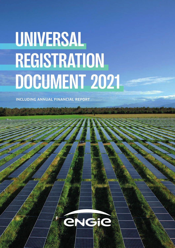# **UNIVERSAL REGISTRATION DOCUMENT 2021**

INCLUDING ANNUAL FINANCIAL REPORT

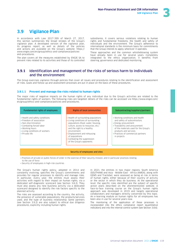

## **3.9 Vigilance Plan**

In accordance with Law 2017-399 of March 27, 2017, this section summarizes the broad strokes of the Group's vigilance plan. A developed version of the vigilance plan, its progress report, as well as details of the policies and actions are available on the Group's website: https:// www.engie.com/en/group/ethics-and-compliance/policiesand-procedures.

The plan covers all the measures established by ENGIE SA to prevent risks related to its activities and those of its controlled

subsidiaries. It covers serious violations relating to human rights and fundamental freedoms, the health and safety of individuals and the environment. The Group's adherence to international standards is the minimum basis for commitments that the Group intends to apply wherever it operates.

These approaches and the common whistleblowing system have already been in use for several years. Completely integrated to the ethics organization, it benefits from steering, governance and dedicated monitoring.

#### **3.9.1** Identification and management of the risks of serious harm to individuals and the environment

The Group exercises vigilance through policies that cover all issues and procedures relating to the identification and assessment of risks. Goals and follow-up and assessment processes are put in place on the basis of these procedures.

#### **3.9.1.1 Prevent and manage the risks related to human rights**

The major risks of negative impacts on the human rights of any individual due to the Group's activities are related to the fundamental rights of workers. The following risks are targeted: details of the risks can be accessed via [https://www.engie.com/](www.engie.com/en/group/ethics-and-compliance/policies-and-procedures) [en/group/ethics-and-compliance/policies-and-procedures.](www.engie.com/en/group/ethics-and-compliance/policies-and-procedures)

#### Fundamental rights of employees Rights of local communities • Health and safety conditions • Freedom of association • Non-discrimination • Combating forced labor • Working hours • Living conditions of workers • Health of surrounding populations • Living conditions of surrounding populations (food, water, housing, culture, access to resources, etc.) and the right to a healthy environment • Working conditions and health and safety of subcontractors • Energy procurement • Traceability and procurement of the materials used for the Group's products and services Subcontracting/suppliers/partners

• Displacement and rehousing

• Combating the suppression of the Group's opponents

of populations

• Practices of commercial partners in projects

#### Security of employees and sites

• Practices of private or public forces of order in the exercise of their security mission, and in particular practices relating to the use of force

• Security of employees in high-risk countries

• Private life

The Group's human rights policy, adopted in 2014 and constantly evolving, specifies the Group's commitments and provides for regular processes to identify and manage risks. In particular, every year, the entities must assess their activities with regard to their impact on human rights, via a dedicated self-diagnostic scorecard (see Section 3.8.2). They must also assess any new business activity via a dedicated scorecard designed to identify the risk factors specific to the planned activity.

The risks are assessed according to the country, the activity, the presence of vulnerable populations, the products/services used, and the type of business relationship. Some partners (see Section 3.9.2) are also subject to ethical due diligence procedures, explicitly including human rights.

In 2021, the entities in two major regions, South America (SOUTHAM) and Asia - Middle East - Africa (AMEA), along with GEMS and Tractebel, were assessed as being at risk in terms of human rights, either because of their country of activity or the sector in which they do business. At the operational level, the specific risks identified are the subject of specific action plans described on the aforementioned website. A face-to-face training course on the Group's human rights approach was developed in 2019 and targets operational collaborators and managers directly concerned by this topic. An e-learning module on human rights for all employees has been also in use for several years now.

The monitoring of the application of these processes is incorporated into the ethics compliance report (quantitative indicators) and into the internal control system (see Section 3.8.6).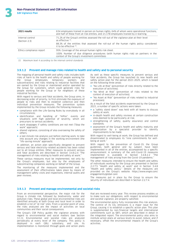| 2021 results                      | 634 employees trained in person on human rights, 64% of whom were operational functions,<br>and half of these from at-risk entities, and 21,178 employees trained by e-learning.             |
|-----------------------------------|----------------------------------------------------------------------------------------------------------------------------------------------------------------------------------------------|
| Internal control<br>(Section 2.3) | 71.2% of the Group's entities assessed the roll-out of the vigilance plan at their level<br>as effective (1)                                                                                 |
|                                   | 88.3% of the entities that assessed the roll-out of the human rights policy considered<br>it to be effective $(1)$ .                                                                         |
| Ethics compliance report          | 95%: Coverage of the annual human rights risk sheet.<br>100%: Number of due diligence procedures (with human rights risk) on partners in the<br>context of the Group's investment committees |

*(1) Maximum level 4 according to the internal control standards*

#### **3.9.1.2 Prevent and manage risks related to health and safety and to personal security**

The mapping of personal health and safety risks includes both risks of harm to the health and safety of people working for<br>the Group (employees, temporary workers and the Group (employees, temporary workers and subcontractors) and risks relating to industrial facilities that are owned by the Group or maintained and/or operated by the Group for customers, which could generate risks for people working for the Group or for neighbors of these industrial facilities.

With regard to serious and fatal accidents, the Group aims, in decreasing order of priority, to first eliminate the exposure of people to risks and then to establish collective and then individual prevention measures. The prevention system implemented by the Group includes the following measures:

- compliance with the Life-Saving Rules by everybody in all circumstances;
- identification and handling of "HiPos": events and situations with high potential of severity, which are precursors to serious accidents;
- work stoppages if safety conditions are not met ("Stop the work" approach*);*
- shared vigilance, consisting of also overseeing the safety of others;
- a last-minute risk analysis just before starting work, to take into account any changes in the working environment (the "life-saving minute" approach).

In addition, an action plan specifically designed to prevent serious and fatal electricity-related accidents has been rolled out to all Group entities. Other measures to prevent serious and fatal accidents are described in Section 3.4.8.2.4 "The management of risks relating to health and safety at work."

These various measures must be implemented, not only by the Group's employees, but also by the employees of subcontracting companies working on behalf of the Group.

The monitoring of the measures implemented and the assessment of their effectiveness takes place by means of management safety visits and inspections, internal audits and peer reviews.

As well as these specific measures to prevent serious and fatal accidents, the Group has launched its new health and safety action plan for the period 2021-2025, which is based on the following three areas:

- "No Life at Risk" (prevention of risks directly related to the execution of activities);
- "No Mind at Risk" (prevention of risks related to the context of execution of activities);
- "No Asset at Risk" (prevention of risks related to industrial processes).

As a result of the fatal accidents experienced by the Group in 2021, a number of specific actions were taken:

- a "safety stand down" was held with all teams to discuss safety at work;
- in-depth health and safety reviews at certain construction sites deemed to be particularly at risk;
- strengthening of safety, quality assurance and control standards;
- assessment of the Group's health and safety maturity and organization by a specialist provider to identify improvements to be made.

With regard to well-being at work, the Group has defined and disseminated to employees its "nine commitments for wellbeing at work.

With regard to the prevention of Covid-19, the Group guidelines, both general and by subject, have been implemented in all of the entities, accompanied by a specific announcement. A summary of the anti-Covid-19 measures implemented is available in Section 3.4.8.2.2 management of risks arising from the Covid-19 pandemic."

The other measures intended to ensure the health and safety of individuals working for the Group are presented in Section 2.2.7.5 "Health and safety at work" and in Section 3.4.8 "Health and safety policy." Details of the measures are provided on the Group's website: http[s://www.engie.com/](www.engie.com/en/engagements/global-care) [engagements/global-care](www.engie.com/en/engagements/global-care)

The measures put in place by the Group to ensure the security of individuals are described in Section 2.2.7.4.

#### **3.9.1.3 Prevent and manage environmental and societal risks**

From an environmental perspective, the major risk for the Group is climate risk, followed by biodiversity, water and pollution risks. These global and local environmental risks are identified annually at both Group and local level in order to establish a list of "at risk" sites. From a societal point of view, the risks analyzed are the impact of activities on local communities and their social consequences.

The Group's CSR Policy guides the vigilance process with regard to environmental and social matters (see Section 3.1.1). Environmental and societal risks are analyzed periodically at every level of the company. This policy is deployed in each GBU, subsidiary, and site. Its in each GBU, implementation is monitored through goals and action plans

that are reviewed every year. This review process enables us to make sure our obligations, with respect to environmental and societal vigilance, are properly satisfied.

The environmental policy fully incorporates this risk analysis. The control of its  $CO<sub>2</sub>$  emissions is a major issue for the Group, causing it to establish a specific action plan. This plan is supplemented by non-financial targets and international commitments such as SBTi, which are described in detail in the integrated report. The environmental policy also aims to institute action plans at various levels to avoid, reduce, and if necessary, offset the environmental impacts of the Group's activities.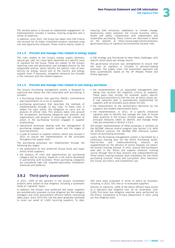3

The societal policy is focused on stakeholder engagement. Its implementation includes a toolbox, training programs and a center of expertise.

In addition, since 2021, the Group has taken nine CSR criteria into account for its major investment projects, assessed using risk and opportunity analyses. These criteria mainly relate to:

#### **3.9.1.4 Prevent and manage risks related to energy supply**

The risks related to the Group's energy supply (biomass, natural gas, LNG, etc.) have been identified as a specific issue of vigilance for the Group. These are subject to the Group's reporting rules and governance and managed directly by the responsible entities, which identify the specific risks of each activity by energy source and at the country and energy supplier level. If necessary, mitigation measures are included in the contracts with the related suppliers.

reducing GHG emissions, adaptation to climate change, biodiversity, water, pollution, the circular economy, ethics, health and safety, collaboration with stakeholders and sustainable purchasing. These criteria are described in detail on the website at [https://www.engie.com/en/analysts/](https://www.engie.com/analystes-rse/gouvernance/devoir-de-vigilance-des-risques-environnementaux-et-societaux) governance/duty-of-vigilance-environmental-societal-risks.

A CSR strategy was formalized to meet these challenges, with specific action plans per energy source.

The governance structure was strengthened to ensure that the duty of vigilance is included in decision-making processes. The supply chain risk assessment approach has been systematized, based on the 3P (People, Planet and Profit) approach.

#### **3.9.1.5 Prevent and manage risks related to non-energy purchases**

The Group's Purchasing management system is designed to supervise and reduce the risks associated with purchasing. It includes:

- a Purchasing Charter that specifies ENGIE's commitments and requirements vis-à-vis its suppliers;
- purchasing governance that describes the methods of implementation through 12 key rules. To these rules is added, for each entity, the obligation to carry out an analysis of ethical risks. This analysis takes into account the occupations, purchasing categories and amounts, and organizations and projects. It encourages the rotation of actors in the purchasing function engaged in supplier relationships;
- operational processes dealing with the management of purchasing categories, supplier panels and the stages of sourcing process;
- a code of conduct in supplier relation, which was revised in 2021 to ensure the implementation of the principles throughout the supply chain.

The purchasing processes are implemented through the following key stages:

- the assessment of new preferred (Group level) and major (entity level) suppliers;
- the analysis of risks and opportunities by purchasing category and by country, based on a risk matrix developed in partnership with EcoVadis. Three purchasing categories are considered high risk: engineering/turnkey installation, chemicals and batteries;

### **3.9.2** Third-party assessment

In 2021, 100% of the partners in the Group's investment projects were subject to due diligence, including a systematic study of "vigilance" topics.

In addition, the Group's new preferred and major suppliers are automatically assessed via due diligence (by the category managers and chief procurement officers) before contracting takes place. Since 2019 this rule has been gradually extended to cover our panel of 1,600 recurring suppliers. To date,

- the implementation of an associated management plan taking into account the eligibility criteria of suppliers. These plans may include, for example, audits, specific contractual provisions to limit the risk, an ethics clause, etc. A risk reduction plan is automatically implemented for suppliers with an EcoVadis score below 45/100;
- the measurement of the performance delivered by the suppliers and related improvement plans;
- the implementation, in 2021, of a specific enhanced vigilance plan to identify and manage the risks of forced labor practices in the Group's Chinese supply chains. The principal measures taken to identify and manage these risks are presented in Section 2.2.6.4.

The proper implementation of these processes is verified via the INCOME internal control program (see Section 2.3). With 28 different controls, the INCOME PRO reference system covers all purchasing processes.

Lastly, the Purchasing management system is facilitated by a continuous training plan for the entire Purchasing sector. Face-to-face and videoconferencing sessions are supplemented by the delivery of online modules via Ulearn, the Group's training intranet. In 2021, around 500 purchasers took part in the "Ethics and supplier relations" training course through face-to-face sessions and videoconferencing. Three Ulearn training modules were mandatory for the entire purchasing function: Fraud and Corruption, Zero Tolerance; Our Group, Our Ethics; and Competition Law.

995 have been evaluated in terms of ethics by EcoVadis, including, in 2021, 591 new or re-evaluated suppliers.

Directly or indirectly, 100% of the Ethics Officers have access to a specialist due diligence tool. As an illustration, over 5,000 first-level due diligence searches were performed by the Ethics, Compliance & Privacy Department in 2021 using our due diligence tools.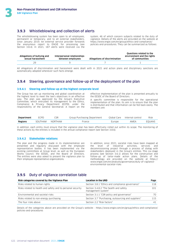#### **3.9.3** Whistleblowing and collection of alerts

The whistleblowing system has been open to all employees, permanent or temporary, and to all external stakeholders, since January 2019. An external service provider forwards the anonymous report to ENGIE for processing (see Section 3.8.4). In 2021, 187 alerts were received via the

system, 46 of which concern subjects related to the duty of vigilance. Details of the alerts are provided on the website at [https://www.engie.com/en/group/ethics-and-compliance/](www.engie.com/en/group/ethics-and-compliance/policies-and-procedures) policies-and-procedures. They can be summarized as follows:

| Allegations of bullying and<br>sexual harassment | Interpersonal relationships<br>between employees | Allegations of discrimination | Questions related to the<br>environment and the rights<br>of communities |
|--------------------------------------------------|--------------------------------------------------|-------------------------------|--------------------------------------------------------------------------|
| つロ                                               |                                                  |                               |                                                                          |
|                                                  |                                                  |                               |                                                                          |

All allegations of discrimination and harassment were dealt with in 2021 and action plans and disciplinary sanctions are automatically adopted whenever such facts emerge.

#### **3.9.4** Steering, governance and follow-up of the deployment of the plan

#### **3.9.4.1 Steering and follow-up at the highest corporate level**

The Group has set up monitoring and global coordination at the highest level to meet the law's objectives in an effective way. The plan was approved by the Group's Executive Committee, which entrusted its management to the Ethics, Compliance & Privacy Department (ECPD), under the responsibility of the General Secretariat. A report on the

effective implementation of the plan is presented annually to the EESDC of the Board of Directors.

A specific committee is responsible for the operational implementation of the plan. Its aim is to ensure that the plan is distributed and that information can be fed back easily. The members are:

| Department     | DГ  | u>             | Department<br>nasıng<br>$r \cap$<br>Purc | are.<br>___ | Interna<br>control<br>. | Risk |
|----------------|-----|----------------|------------------------------------------|-------------|-------------------------|------|
| <b>Regions</b> | HAN | - NOT<br>` ЧДМ | rancı                                    | rone.       | AMEA                    |      |

In addition, each entity must ensure that the vigilance plan has been effectively rolled out within its scope. The monitoring of these actions by the entities is included in the annual compliance report (see Section 3.8.6).

#### **3.9.4.2 Stakeholder relations**

The plan and the progress made in its implementation are presented and regularly discussed with the employee representative bodies. It has been implemented via the existing committees at Group level, as well as the European Works Council, the EESDC, and the Board of Directors. The entities were also asked to present the vigilance plan to their employee representative organizations.

In addition, since 2021, societal risks have been mapped at the level of industrial activities, services and decommissioning project through a process of dialog with stakeholders deployed in the Group's entities. This six-stage process (see Section 3.6.1) allows for the construction and follow-up of tailor-made action plans. Details of the methodology are provided on the website at https:// www.engie.com/en/analysts/governance/duty-of-vigilanceenvironmental-societal-risks

#### **3.9.5** Duty of vigilance correlation table

| Risk categories covered by the Vigilance Plan               | <b>Location in the URD</b>                                   | Page |
|-------------------------------------------------------------|--------------------------------------------------------------|------|
| Risks related to human rights                               | Section 3.8.1 "Ethics and compliance governance"             | 118  |
| Risks related to health and safety and to personal security | Section 3.4.8.2 "The health and safety<br>management system" | 101  |
| Environmental and societal risks                            | Section 3.1.1 "CSR policy and governance"                    | 70.  |
| Risks related to non-energy purchasing                      | Section 3.7 "Purchasing, outsourcing and suppliers"          | 115  |
| The four risks above                                        | Section 2.2 "Risk factors"                                   |      |

Details of the categories above are provided on the Group's website: [: https://www.engie.com/en/group/ethics-and-compliance/](https://www.engie.com/en/group/ethics-and-compliance/policies-and-procedures) [policies-and-procedures](https://www.engie.com/en/group/ethics-and-compliance/policies-and-procedures)